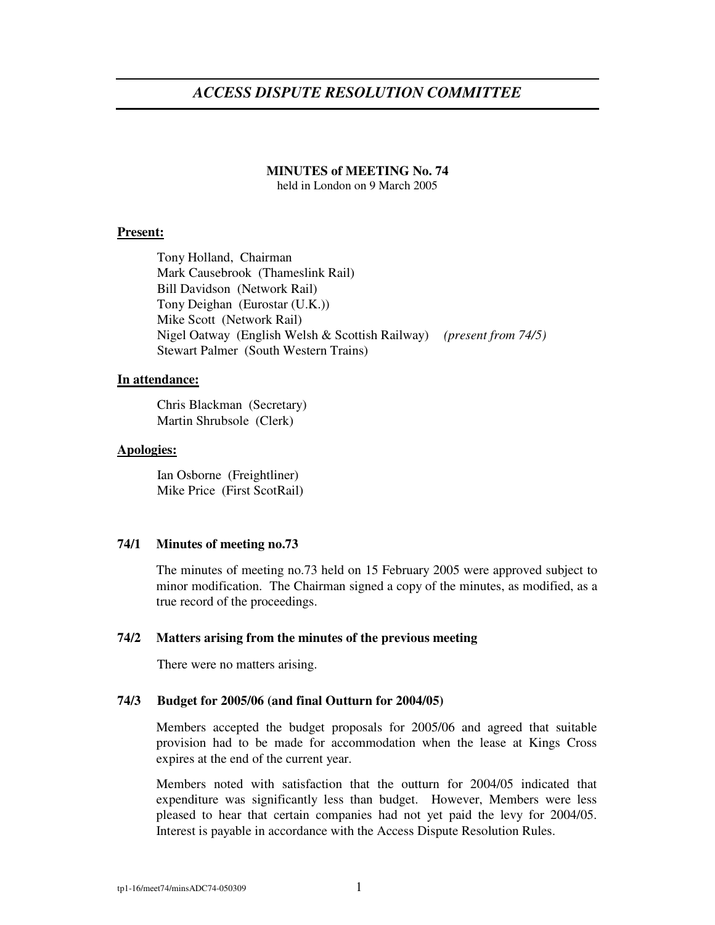# *ACCESS DISPUTE RESOLUTION COMMITTEE*

# **MINUTES of MEETING No. 74**

held in London on 9 March 2005

### **Present:**

Tony Holland, Chairman Mark Causebrook (Thameslink Rail) Bill Davidson (Network Rail) Tony Deighan (Eurostar (U.K.)) Mike Scott (Network Rail) Nigel Oatway (English Welsh & Scottish Railway) *(present from 74/5)* Stewart Palmer (South Western Trains)

# **In attendance:**

Chris Blackman (Secretary) Martin Shrubsole (Clerk)

### **Apologies:**

Ian Osborne (Freightliner) Mike Price (First ScotRail)

#### **74/1 Minutes of meeting no.73**

The minutes of meeting no.73 held on 15 February 2005 were approved subject to minor modification. The Chairman signed a copy of the minutes, as modified, as a true record of the proceedings.

### **74/2 Matters arising from the minutes of the previous meeting**

There were no matters arising.

## **74/3 Budget for 2005/06 (and final Outturn for 2004/05)**

Members accepted the budget proposals for 2005/06 and agreed that suitable provision had to be made for accommodation when the lease at Kings Cross expires at the end of the current year.

Members noted with satisfaction that the outturn for 2004/05 indicated that expenditure was significantly less than budget. However, Members were less pleased to hear that certain companies had not yet paid the levy for 2004/05. Interest is payable in accordance with the Access Dispute Resolution Rules.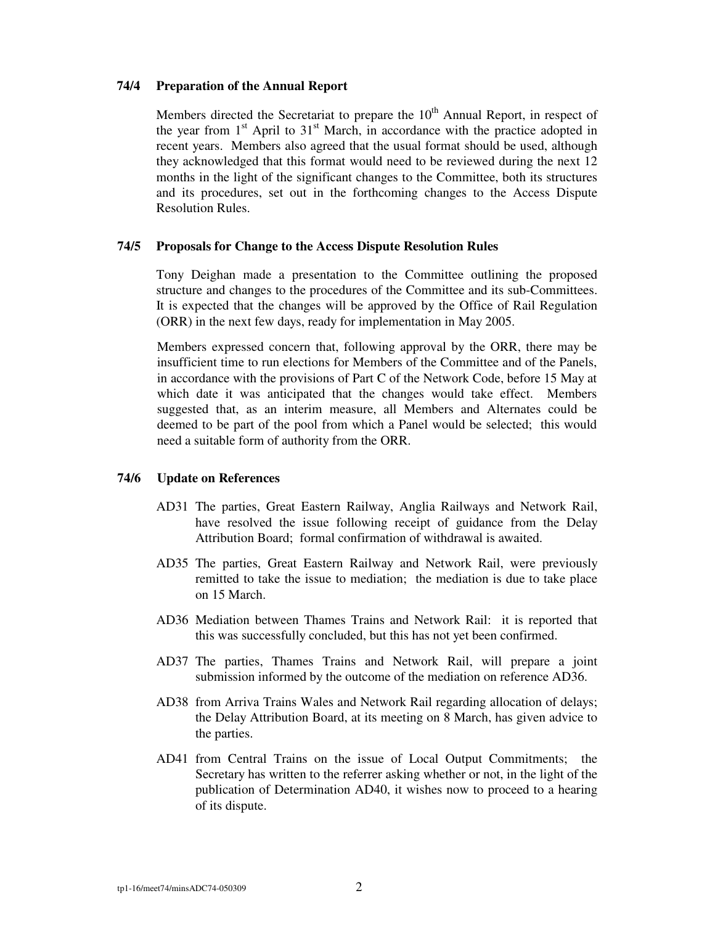### **74/4 Preparation of the Annual Report**

Members directed the Secretariat to prepare the 10<sup>th</sup> Annual Report, in respect of the year from  $1<sup>st</sup>$  April to  $31<sup>st</sup>$  March, in accordance with the practice adopted in recent years. Members also agreed that the usual format should be used, although they acknowledged that this format would need to be reviewed during the next 12 months in the light of the significant changes to the Committee, both its structures and its procedures, set out in the forthcoming changes to the Access Dispute Resolution Rules.

#### **74/5 Proposals for Change to the Access Dispute Resolution Rules**

Tony Deighan made a presentation to the Committee outlining the proposed structure and changes to the procedures of the Committee and its sub-Committees. It is expected that the changes will be approved by the Office of Rail Regulation (ORR) in the next few days, ready for implementation in May 2005.

Members expressed concern that, following approval by the ORR, there may be insufficient time to run elections for Members of the Committee and of the Panels, in accordance with the provisions of Part C of the Network Code, before 15 May at which date it was anticipated that the changes would take effect. Members suggested that, as an interim measure, all Members and Alternates could be deemed to be part of the pool from which a Panel would be selected; this would need a suitable form of authority from the ORR.

### **74/6 Update on References**

- AD31 The parties, Great Eastern Railway, Anglia Railways and Network Rail, have resolved the issue following receipt of guidance from the Delay Attribution Board; formal confirmation of withdrawal is awaited.
- AD35 The parties, Great Eastern Railway and Network Rail, were previously remitted to take the issue to mediation; the mediation is due to take place on 15 March.
- AD36 Mediation between Thames Trains and Network Rail: it is reported that this was successfully concluded, but this has not yet been confirmed.
- AD37 The parties, Thames Trains and Network Rail, will prepare a joint submission informed by the outcome of the mediation on reference AD36.
- AD38 from Arriva Trains Wales and Network Rail regarding allocation of delays; the Delay Attribution Board, at its meeting on 8 March, has given advice to the parties.
- AD41 from Central Trains on the issue of Local Output Commitments; the Secretary has written to the referrer asking whether or not, in the light of the publication of Determination AD40, it wishes now to proceed to a hearing of its dispute.